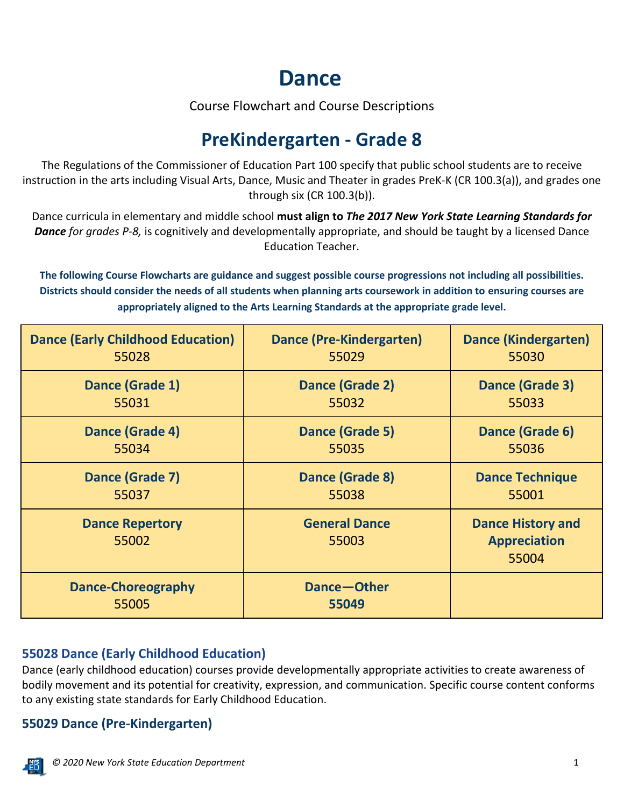# **Dance**

Course Flowchart and Course Descriptions

# **PreKindergarten - Grade 8**

The Regulations of the Commissioner of Education Part 100 specify that public school students are to receive instruction in the arts including Visual Arts, Dance, Music and Theater in grades PreK-K (CR 100.3(a)), and grades one through six (CR 100.3(b)).

Dance curricula in elementary and middle school **must align to** *The 2017 New York State Learning Standards for Dance for grades P-8,* is cognitively and developmentally appropriate, and should be taught by a licensed Dance Education Teacher.

**The following Course Flowcharts are guidance and suggest possible course progressions not including all possibilities. Districts should consider the needs of all students when planning arts coursework in addition to ensuring courses are appropriately aligned to the Arts Learning Standards at the appropriate grade level.**

| <b>Dance (Early Childhood Education)</b> | <b>Dance (Pre-Kindergarten)</b> | <b>Dance (Kindergarten)</b>                              |
|------------------------------------------|---------------------------------|----------------------------------------------------------|
| 55028                                    | 55029                           | 55030                                                    |
| Dance (Grade 1)                          | Dance (Grade 2)                 | Dance (Grade 3)                                          |
| 55031                                    | 55032                           | 55033                                                    |
| Dance (Grade 4)                          | Dance (Grade 5)                 | Dance (Grade 6)                                          |
| 55034                                    | 55035                           | 55036                                                    |
| Dance (Grade 7)                          | Dance (Grade 8)                 | <b>Dance Technique</b>                                   |
| 55037                                    | 55038                           | 55001                                                    |
| <b>Dance Repertory</b><br>55002          | <b>General Dance</b><br>55003   | <b>Dance History and</b><br><b>Appreciation</b><br>55004 |
| <b>Dance-Choreography</b><br>55005       | Dance-Other<br>55049            |                                                          |

# **55028 Dance (Early Childhood Education)**

Dance (early childhood education) courses provide developmentally appropriate activities to create awareness of bodily movement and its potential for creativity, expression, and communication. Specific course content conforms to any existing state standards for Early Childhood Education.

# **55029 Dance (Pre-Kindergarten)**

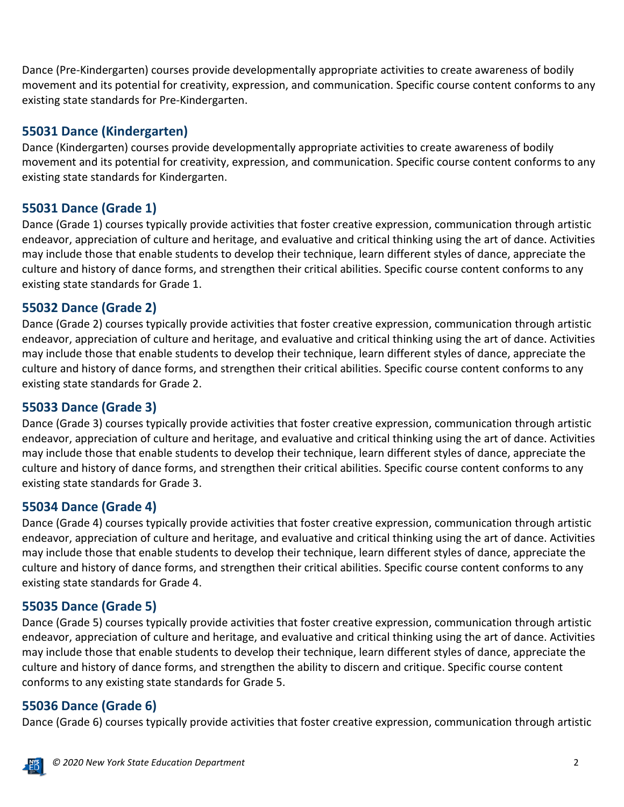Dance (Pre-Kindergarten) courses provide developmentally appropriate activities to create awareness of bodily movement and its potential for creativity, expression, and communication. Specific course content conforms to any existing state standards for Pre-Kindergarten.

#### **55031 Dance (Kindergarten)**

Dance (Kindergarten) courses provide developmentally appropriate activities to create awareness of bodily movement and its potential for creativity, expression, and communication. Specific course content conforms to any existing state standards for Kindergarten.

# **55031 Dance (Grade 1)**

Dance (Grade 1) courses typically provide activities that foster creative expression, communication through artistic endeavor, appreciation of culture and heritage, and evaluative and critical thinking using the art of dance. Activities may include those that enable students to develop their technique, learn different styles of dance, appreciate the culture and history of dance forms, and strengthen their critical abilities. Specific course content conforms to any existing state standards for Grade 1.

# **55032 Dance (Grade 2)**

Dance (Grade 2) courses typically provide activities that foster creative expression, communication through artistic endeavor, appreciation of culture and heritage, and evaluative and critical thinking using the art of dance. Activities may include those that enable students to develop their technique, learn different styles of dance, appreciate the culture and history of dance forms, and strengthen their critical abilities. Specific course content conforms to any existing state standards for Grade 2.

# **55033 Dance (Grade 3)**

Dance (Grade 3) courses typically provide activities that foster creative expression, communication through artistic endeavor, appreciation of culture and heritage, and evaluative and critical thinking using the art of dance. Activities may include those that enable students to develop their technique, learn different styles of dance, appreciate the culture and history of dance forms, and strengthen their critical abilities. Specific course content conforms to any existing state standards for Grade 3.

# **55034 Dance (Grade 4)**

Dance (Grade 4) courses typically provide activities that foster creative expression, communication through artistic endeavor, appreciation of culture and heritage, and evaluative and critical thinking using the art of dance. Activities may include those that enable students to develop their technique, learn different styles of dance, appreciate the culture and history of dance forms, and strengthen their critical abilities. Specific course content conforms to any existing state standards for Grade 4.

# **55035 Dance (Grade 5)**

Dance (Grade 5) courses typically provide activities that foster creative expression, communication through artistic endeavor, appreciation of culture and heritage, and evaluative and critical thinking using the art of dance. Activities may include those that enable students to develop their technique, learn different styles of dance, appreciate the culture and history of dance forms, and strengthen the ability to discern and critique. Specific course content conforms to any existing state standards for Grade 5.

# **55036 Dance (Grade 6)**

Dance (Grade 6) courses typically provide activities that foster creative expression, communication through artistic

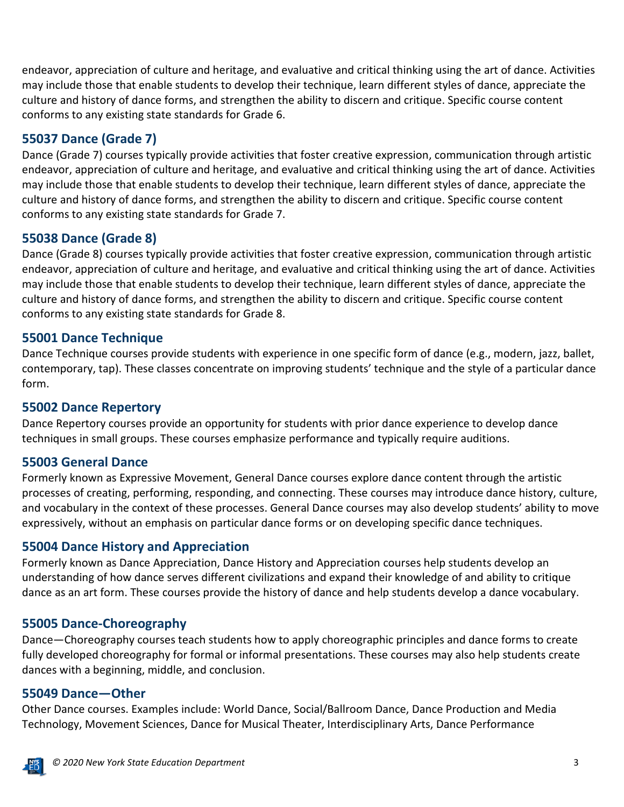endeavor, appreciation of culture and heritage, and evaluative and critical thinking using the art of dance. Activities may include those that enable students to develop their technique, learn different styles of dance, appreciate the culture and history of dance forms, and strengthen the ability to discern and critique. Specific course content conforms to any existing state standards for Grade 6.

# **55037 Dance (Grade 7)**

Dance (Grade 7) courses typically provide activities that foster creative expression, communication through artistic endeavor, appreciation of culture and heritage, and evaluative and critical thinking using the art of dance. Activities may include those that enable students to develop their technique, learn different styles of dance, appreciate the culture and history of dance forms, and strengthen the ability to discern and critique. Specific course content conforms to any existing state standards for Grade 7.

#### **55038 Dance (Grade 8)**

Dance (Grade 8) courses typically provide activities that foster creative expression, communication through artistic endeavor, appreciation of culture and heritage, and evaluative and critical thinking using the art of dance. Activities may include those that enable students to develop their technique, learn different styles of dance, appreciate the culture and history of dance forms, and strengthen the ability to discern and critique. Specific course content conforms to any existing state standards for Grade 8.

#### **55001 Dance Technique**

Dance Technique courses provide students with experience in one specific form of dance (e.g., modern, jazz, ballet, contemporary, tap). These classes concentrate on improving students' technique and the style of a particular dance form.

#### **55002 Dance Repertory**

Dance Repertory courses provide an opportunity for students with prior dance experience to develop dance techniques in small groups. These courses emphasize performance and typically require auditions.

#### **55003 General Dance**

Formerly known as Expressive Movement, General Dance courses explore dance content through the artistic processes of creating, performing, responding, and connecting. These courses may introduce dance history, culture, and vocabulary in the context of these processes. General Dance courses may also develop students' ability to move expressively, without an emphasis on particular dance forms or on developing specific dance techniques.

#### **55004 Dance History and Appreciation**

Formerly known as Dance Appreciation, Dance History and Appreciation courses help students develop an understanding of how dance serves different civilizations and expand their knowledge of and ability to critique dance as an art form. These courses provide the history of dance and help students develop a dance vocabulary.

#### **55005 Dance-Choreography**

Dance—Choreography courses teach students how to apply choreographic principles and dance forms to create fully developed choreography for formal or informal presentations. These courses may also help students create dances with a beginning, middle, and conclusion.

#### **55049 Dance—Other**

Other Dance courses. Examples include: World Dance, Social/Ballroom Dance, Dance Production and Media Technology, Movement Sciences, Dance for Musical Theater, Interdisciplinary Arts, Dance Performance

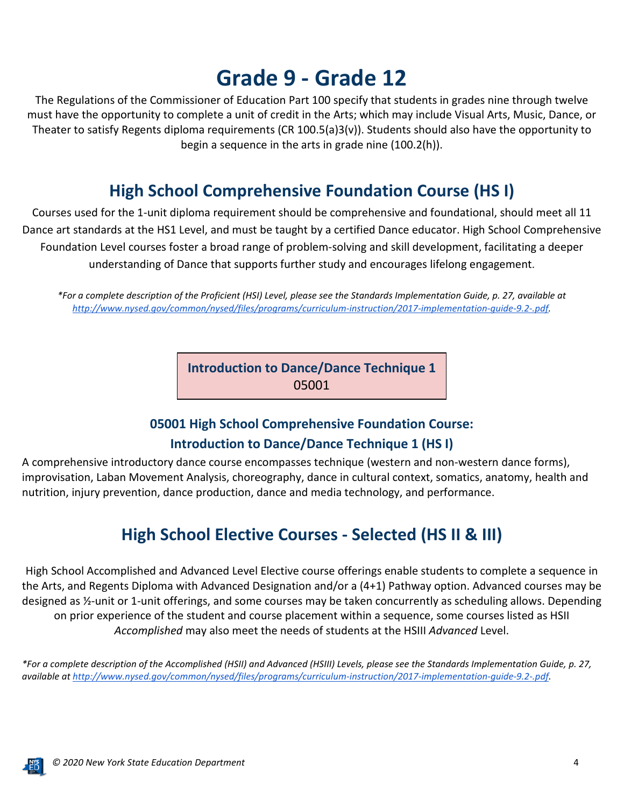# **Grade 9 - Grade 12**

The Regulations of the Commissioner of Education Part 100 specify that students in grades nine through twelve must have the opportunity to complete a unit of credit in the Arts; which may include Visual Arts, Music, Dance, or Theater to satisfy Regents diploma requirements (CR 100.5(a)3(v)). Students should also have the opportunity to begin a sequence in the arts in grade nine (100.2(h)).

# **High School Comprehensive Foundation Course (HS I)**

Courses used for the 1-unit diploma requirement should be comprehensive and foundational, should meet all 11 Dance art standards at the HS1 Level, and must be taught by a certified Dance educator. High School Comprehensive Foundation Level courses foster a broad range of problem-solving and skill development, facilitating a deeper understanding of Dance that supports further study and encourages lifelong engagement.

*\*For a complete description of the Proficient (HSI) Level, please see the Standards Implementation Guide, p. 27, available at [http://www.nysed.gov/common/nysed/files/programs/curriculum-instruction/2017-implementation-guide-9.2-.pdf.](http://www.nysed.gov/common/nysed/files/programs/curriculum-instruction/2017-implementation-guide-9.2-.pdf)*

> **Introduction to Dance/Dance Technique 1** 05001

# **05001 High School Comprehensive Foundation Course:**

# **Introduction to Dance/Dance Technique 1 (HS I)**

A comprehensive introductory dance course encompasses technique (western and non-western dance forms), improvisation, Laban Movement Analysis, choreography, dance in cultural context, somatics, anatomy, health and nutrition, injury prevention, dance production, dance and media technology, and performance.

# **High School Elective Courses - Selected (HS II & III)**

High School Accomplished and Advanced Level Elective course offerings enable students to complete a sequence in the Arts, and Regents Diploma with Advanced Designation and/or a (4+1) Pathway option. Advanced courses may be designed as ½-unit or 1-unit offerings, and some courses may be taken concurrently as scheduling allows. Depending on prior experience of the student and course placement within a sequence, some courses listed as HSII *Accomplished* may also meet the needs of students at the HSIII *Advanced* Level.

*\*For a complete description of the Accomplished (HSII) and Advanced (HSIII) Levels, please see the Standards Implementation Guide, p. 27, available a[t http://www.nysed.gov/common/nysed/files/programs/curriculum-instruction/2017-implementation-guide-9.2-.pdf.](http://www.nysed.gov/common/nysed/files/programs/curriculum-instruction/2017-implementation-guide-9.2-.pdf)*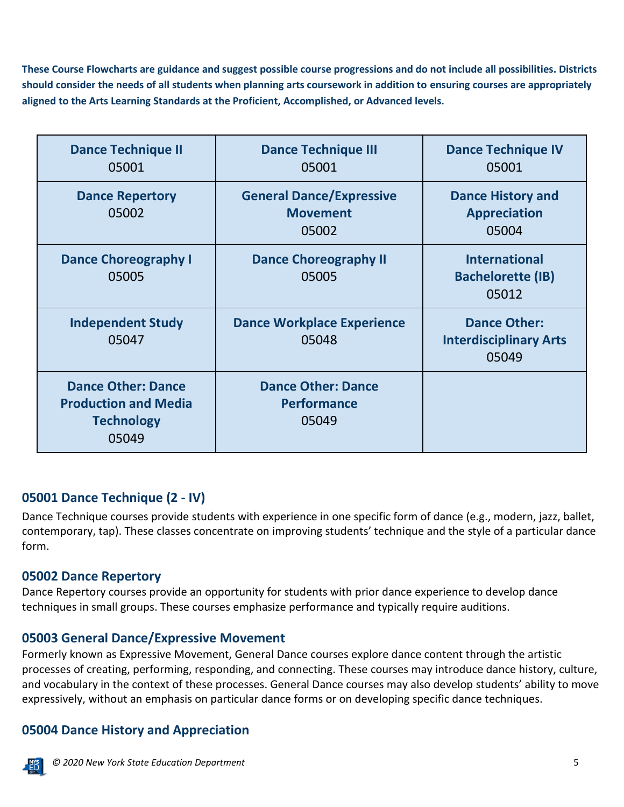**These Course Flowcharts are guidance and suggest possible course progressions and do not include all possibilities. Districts should consider the needs of all students when planning arts coursework in addition to ensuring courses are appropriately aligned to the Arts Learning Standards at the Proficient, Accomplished, or Advanced levels.**

| <b>Dance Technique II</b><br>05001                                                     | <b>Dance Technique III</b><br>05001                         | <b>Dance Technique IV</b><br>05001                            |
|----------------------------------------------------------------------------------------|-------------------------------------------------------------|---------------------------------------------------------------|
| <b>Dance Repertory</b><br>05002                                                        | <b>General Dance/Expressive</b><br><b>Movement</b><br>05002 | <b>Dance History and</b><br><b>Appreciation</b><br>05004      |
| <b>Dance Choreography I</b><br>05005                                                   | <b>Dance Choreography II</b><br>05005                       | <b>International</b><br><b>Bachelorette (IB)</b><br>05012     |
| <b>Independent Study</b><br>05047                                                      | <b>Dance Workplace Experience</b><br>05048                  | <b>Dance Other:</b><br><b>Interdisciplinary Arts</b><br>05049 |
| <b>Dance Other: Dance</b><br><b>Production and Media</b><br><b>Technology</b><br>05049 | <b>Dance Other: Dance</b><br><b>Performance</b><br>05049    |                                                               |

#### **05001 Dance Technique (2 - IV)**

Dance Technique courses provide students with experience in one specific form of dance (e.g., modern, jazz, ballet, contemporary, tap). These classes concentrate on improving students' technique and the style of a particular dance form.

#### **05002 Dance Repertory**

Dance Repertory courses provide an opportunity for students with prior dance experience to develop dance techniques in small groups. These courses emphasize performance and typically require auditions.

#### **05003 General Dance/Expressive Movement**

Formerly known as Expressive Movement, General Dance courses explore dance content through the artistic processes of creating, performing, responding, and connecting. These courses may introduce dance history, culture, and vocabulary in the context of these processes. General Dance courses may also develop students' ability to move expressively, without an emphasis on particular dance forms or on developing specific dance techniques.

# **05004 Dance History and Appreciation**

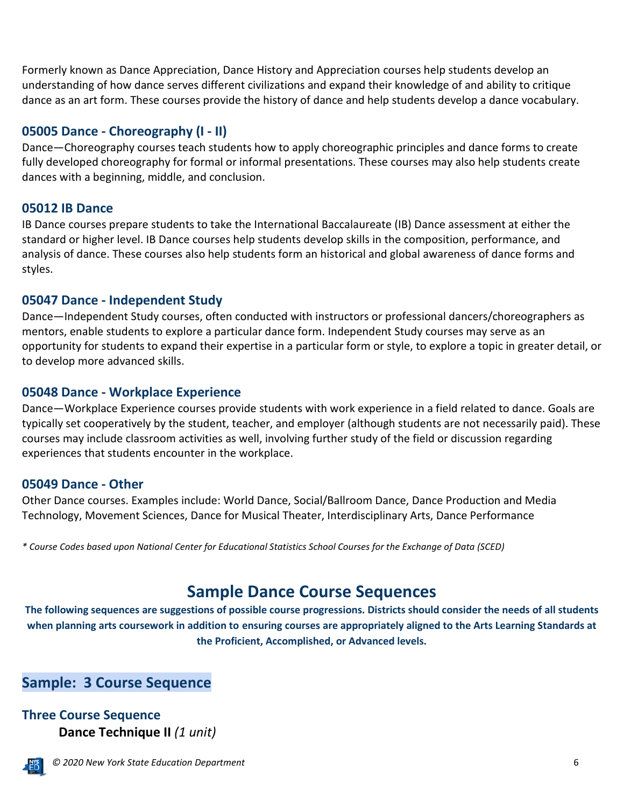Formerly known as Dance Appreciation, Dance History and Appreciation courses help students develop an understanding of how dance serves different civilizations and expand their knowledge of and ability to critique dance as an art form. These courses provide the history of dance and help students develop a dance vocabulary.

#### **05005 Dance - Choreography (I - II)**

Dance—Choreography courses teach students how to apply choreographic principles and dance forms to create fully developed choreography for formal or informal presentations. These courses may also help students create dances with a beginning, middle, and conclusion.

#### **05012 IB Dance**

IB Dance courses prepare students to take the International Baccalaureate (IB) Dance assessment at either the standard or higher level. IB Dance courses help students develop skills in the composition, performance, and analysis of dance. These courses also help students form an historical and global awareness of dance forms and styles.

#### **05047 Dance - Independent Study**

Dance—Independent Study courses, often conducted with instructors or professional dancers/choreographers as mentors, enable students to explore a particular dance form. Independent Study courses may serve as an opportunity for students to expand their expertise in a particular form or style, to explore a topic in greater detail, or to develop more advanced skills.

#### **05048 Dance - Workplace Experience**

Dance—Workplace Experience courses provide students with work experience in a field related to dance. Goals are typically set cooperatively by the student, teacher, and employer (although students are not necessarily paid). These courses may include classroom activities as well, involving further study of the field or discussion regarding experiences that students encounter in the workplace.

#### **05049 Dance - Other**

Other Dance courses. Examples include: World Dance, Social/Ballroom Dance, Dance Production and Media Technology, Movement Sciences, Dance for Musical Theater, Interdisciplinary Arts, Dance Performance

*\* Course Codes based upon National Center for Educational Statistics School Courses for the Exchange of Data (SCED)*

# **Sample Dance Course Sequences**

**The following sequences are suggestions of possible course progressions. Districts should consider the needs of all students when planning arts coursework in addition to ensuring courses are appropriately aligned to the Arts Learning Standards at the Proficient, Accomplished, or Advanced levels.**

# **Sample: 3 Course Sequence**

# **Three Course Sequence Dance Technique II** *(1 unit)*

 *© 2020 New York State Education Department* 6